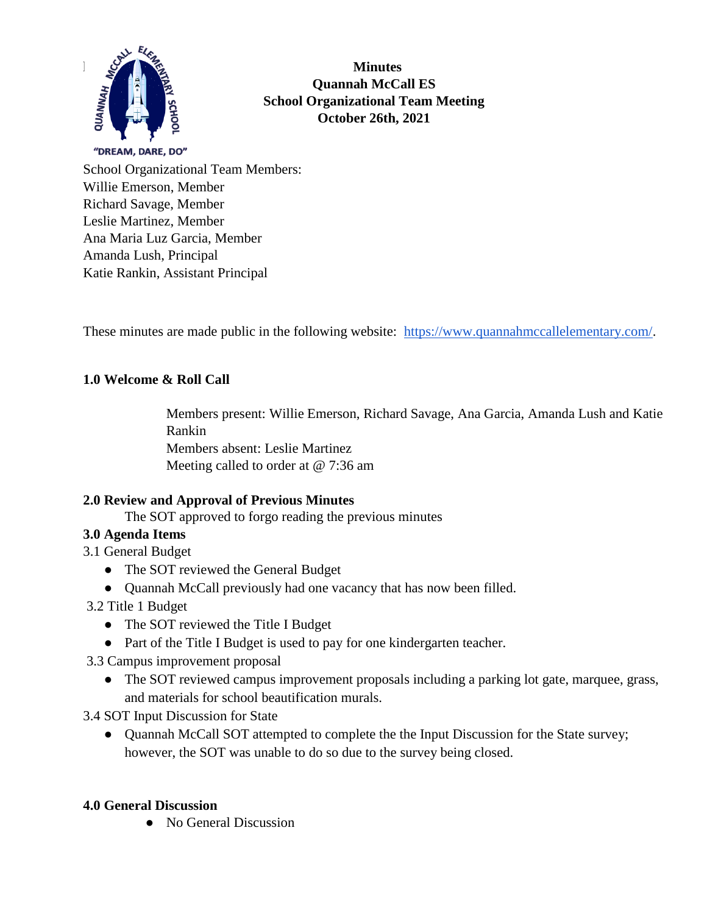

**Minutes Quannah McCall ES School Organizational Team Meeting October 26th, 2021**

School Organizational Team Members: Willie Emerson, Member Richard Savage, Member Leslie Martinez, Member Ana Maria Luz Garcia, Member Amanda Lush, Principal Katie Rankin, Assistant Principal

These minutes are made public in the following website: [https://www.quannahmccallelementary.com/.](https://www.quannahmccallelementary.com/)

## **1.0 Welcome & Roll Call**

Members present: Willie Emerson, Richard Savage, Ana Garcia, Amanda Lush and Katie Rankin Members absent: Leslie Martinez Meeting called to order at @ 7:36 am

## **2.0 Review and Approval of Previous Minutes**

The SOT approved to forgo reading the previous minutes

## **3.0 Agenda Items**

3.1 General Budget

- The SOT reviewed the General Budget
- Quannah McCall previously had one vacancy that has now been filled.

3.2 Title 1 Budget

- The SOT reviewed the Title I Budget
- Part of the Title I Budget is used to pay for one kindergarten teacher.
- 3.3 Campus improvement proposal
	- The SOT reviewed campus improvement proposals including a parking lot gate, marquee, grass, and materials for school beautification murals.

3.4 SOT Input Discussion for State

• Quannah McCall SOT attempted to complete the the Input Discussion for the State survey; however, the SOT was unable to do so due to the survey being closed.

#### **4.0 General Discussion**

● No General Discussion